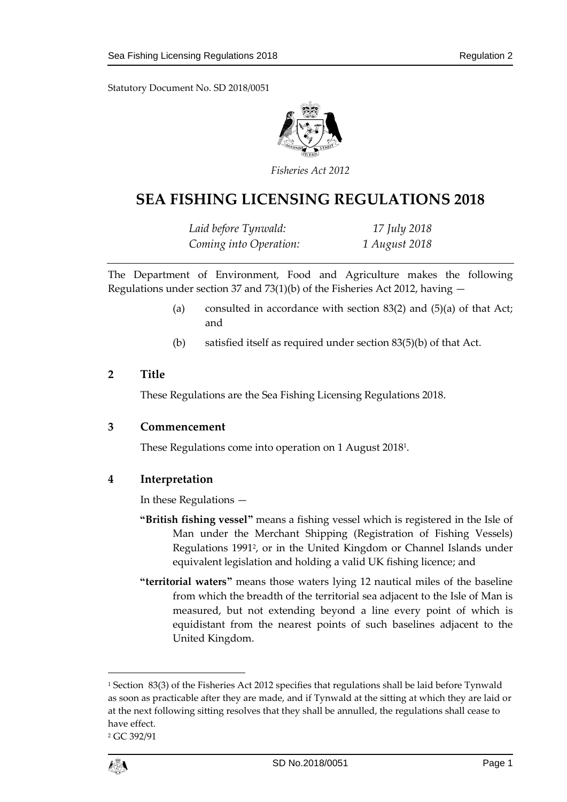Statutory Document No. SD 2018/0051



*Fisheries Act 2012*

# **SEA FISHING LICENSING REGULATIONS 2018**

*Laid before Tynwald: 17 July 2018 Coming into Operation: 1 August 2018*

The Department of Environment, Food and Agriculture makes the following Regulations under section 37 and 73(1)(b) of the Fisheries Act 2012, having  $-$ 

- (a) consulted in accordance with section  $83(2)$  and  $(5)(a)$  of that Act; and
- (b) satisfied itself as required under section 83(5)(b) of that Act.

### **2 Title**

These Regulations are the Sea Fishing Licensing Regulations 2018.

#### **3 Commencement**

These Regulations come into operation on 1 August 2018<sup>1</sup> .

### **4 Interpretation**

In these Regulations —

- **"British fishing vessel"** means a fishing vessel which is registered in the Isle of Man under the Merchant Shipping (Registration of Fishing Vessels) Regulations 1991<sup>2</sup> , or in the United Kingdom or Channel Islands under equivalent legislation and holding a valid UK fishing licence; and
- **"territorial waters"** means those waters lying 12 nautical miles of the baseline from which the breadth of the territorial sea adjacent to the Isle of Man is measured, but not extending beyond a line every point of which is equidistant from the nearest points of such baselines adjacent to the United Kingdom.

<sup>2</sup> GC 392/91



1

<sup>1</sup> Section 83(3) of the Fisheries Act 2012 specifies that regulations shall be laid before Tynwald as soon as practicable after they are made, and if Tynwald at the sitting at which they are laid or at the next following sitting resolves that they shall be annulled, the regulations shall cease to have effect.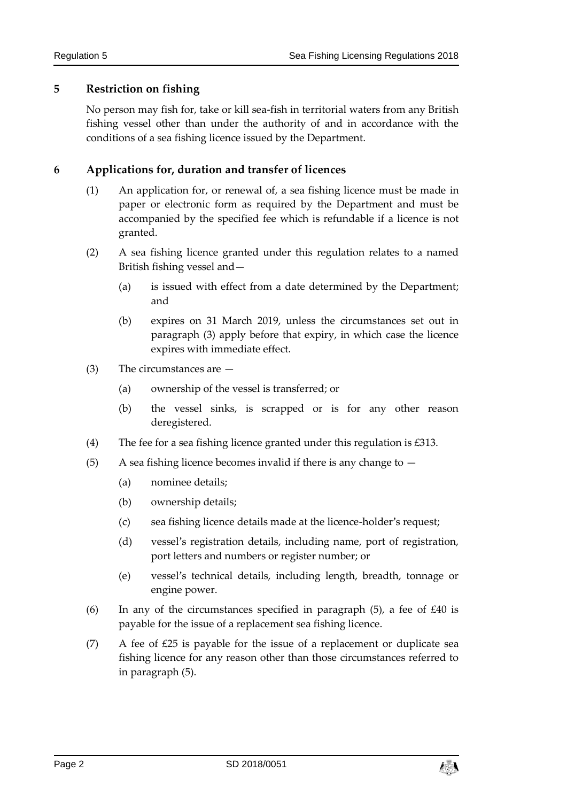## **5 Restriction on fishing**

No person may fish for, take or kill sea-fish in territorial waters from any British fishing vessel other than under the authority of and in accordance with the conditions of a sea fishing licence issued by the Department.

# **6 Applications for, duration and transfer of licences**

- (1) An application for, or renewal of, a sea fishing licence must be made in paper or electronic form as required by the Department and must be accompanied by the specified fee which is refundable if a licence is not granted.
- (2) A sea fishing licence granted under this regulation relates to a named British fishing vessel and—
	- (a) is issued with effect from a date determined by the Department; and
	- (b) expires on 31 March 2019, unless the circumstances set out in paragraph (3) apply before that expiry, in which case the licence expires with immediate effect.
- (3) The circumstances are
	- (a) ownership of the vessel is transferred; or
	- (b) the vessel sinks, is scrapped or is for any other reason deregistered.
- (4) The fee for a sea fishing licence granted under this regulation is £313.
- (5) A sea fishing licence becomes invalid if there is any change to  $-$ 
	- (a) nominee details;
	- (b) ownership details;
	- (c) sea fishing licence details made at the licence-holder's request;
	- (d) vessel's registration details, including name, port of registration, port letters and numbers or register number; or
	- (e) vessel's technical details, including length, breadth, tonnage or engine power.
- (6) In any of the circumstances specified in paragraph  $(5)$ , a fee of  $£40$  is payable for the issue of a replacement sea fishing licence.
- (7) A fee of  $E25$  is payable for the issue of a replacement or duplicate sea fishing licence for any reason other than those circumstances referred to in paragraph (5).

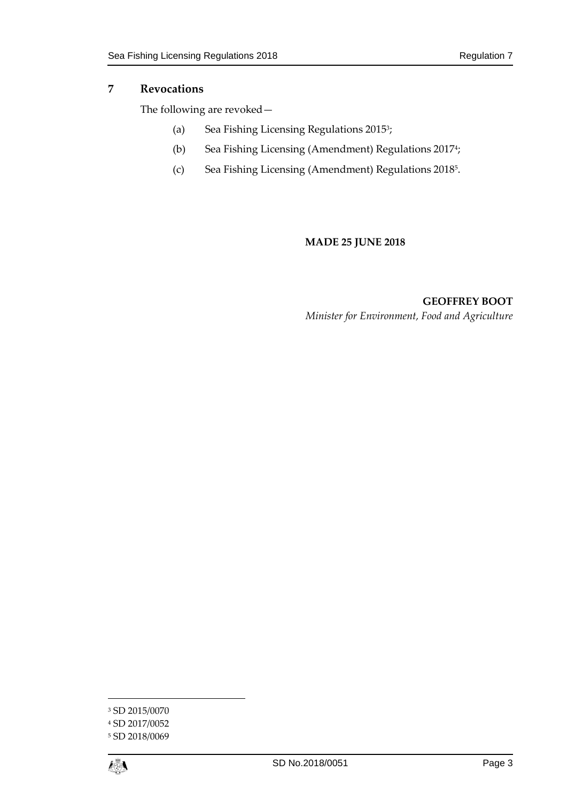## **7 Revocations**

The following are revoked—

- (a) Sea Fishing Licensing Regulations 2015<sup>3</sup>;
- (b) Sea Fishing Licensing (Amendment) Regulations 2017<sup>4</sup> ;
- (c) Sea Fishing Licensing (Amendment) Regulations 2018<sup>5</sup> .

#### **MADE 25 JUNE 2018**

**GEOFFREY BOOT** *Minister for Environment, Food and Agriculture*

<sup>5</sup> SD 2018/0069



1

<sup>3</sup> SD 2015/0070

<sup>4</sup> SD 2017/0052